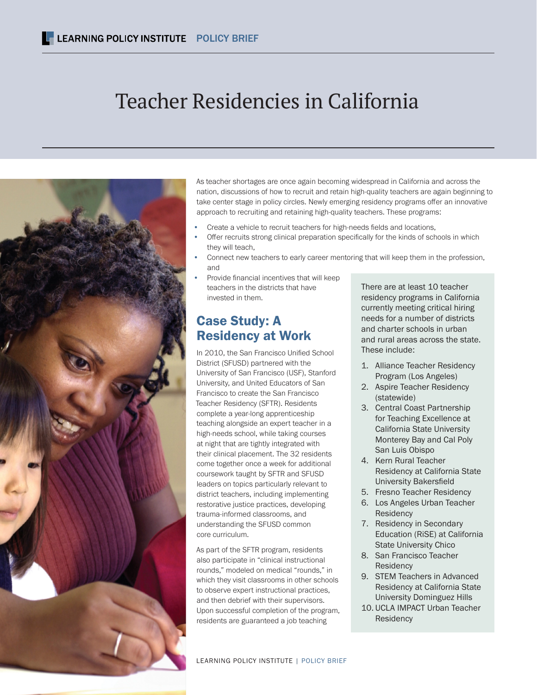# Teacher Residencies in California



As teacher shortages are once again becoming widespread in California and across the nation, discussions of how to recruit and retain high-quality teachers are again beginning to take center stage in policy circles. Newly emerging residency programs offer an innovative approach to recruiting and retaining high-quality teachers. These programs:

- Create a vehicle to recruit teachers for high-needs fields and locations,
- Offer recruits strong clinical preparation specifically for the kinds of schools in which they will teach,
- Connect new teachers to early career mentoring that will keep them in the profession, and
- Provide financial incentives that will keep teachers in the districts that have invested in them.

## Case Study: A Residency at Work

In 2010, the San Francisco Unified School District (SFUSD) partnered with the University of San Francisco (USF), Stanford University, and United Educators of San Francisco to create the San Francisco Teacher Residency (SFTR). Residents complete a year-long apprenticeship teaching alongside an expert teacher in a high-needs school, while taking courses at night that are tightly integrated with their clinical placement. The 32 residents come together once a week for additional coursework taught by SFTR and SFUSD leaders on topics particularly relevant to district teachers, including implementing restorative justice practices, developing trauma-informed classrooms, and understanding the SFUSD common core curriculum.

As part of the SFTR program, residents also participate in "clinical instructional rounds," modeled on medical "rounds," in which they visit classrooms in other schools to observe expert instructional practices, and then debrief with their supervisors. Upon successful completion of the program, residents are guaranteed a job teaching

There are at least 10 teacher residency programs in California currently meeting critical hiring needs for a number of districts and charter schools in urban and rural areas across the state. These include:

- 1. Alliance Teacher Residency Program (Los Angeles)
- 2. Aspire Teacher Residency (statewide)
- 3. Central Coast Partnership for Teaching Excellence at California State University Monterey Bay and Cal Poly San Luis Obispo
- 4. Kern Rural Teacher Residency at California State University Bakersfield
- 5. Fresno Teacher Residency
- 6. Los Angeles Urban Teacher **Residency**
- 7. Residency in Secondary Education (RiSE) at California State University Chico
- 8. San Francisco Teacher Residency
- 9. STEM Teachers in Advanced Residency at California State University Dominguez Hills
- 10. UCLA IMPACT Urban Teacher **Residency**